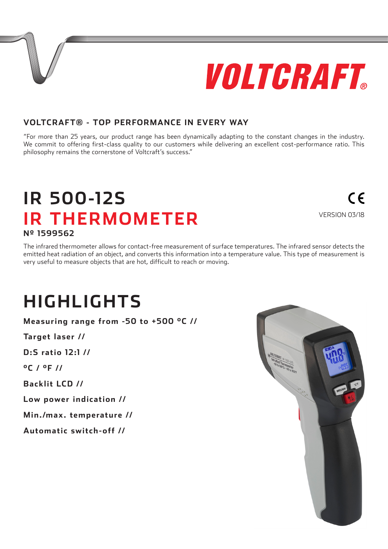# VOLTGRAFT

#### **VOLTCRAFT® - TOP PERFORMANCE IN EVERY WAY**

"For more than 25 years, our product range has been dynamically adapting to the constant changes in the industry. We commit to offering first-class quality to our customers while delivering an excellent cost-performance ratio. This philosophy remains the cornerstone of Voltcraft's success."

#### **IR 500-12S IR THERMOMETER** VERSION 03/18 **Nº 1599562**

The infrared thermometer allows for contact-free measurement of surface temperatures. The infrared sensor detects the emitted heat radiation of an object, and converts this information into a temperature value. This type of measurement is very useful to measure objects that are hot, difficult to reach or moving.

### **HIGHLIGHTS**

**Measuring range from -50 to +500 °C //**

**Target laser //**

**D:S ratio 12:1 //**

**°C / °F //**

**Backlit LCD //**

**Low power indication //**

**Min./max. temperature //**

**Automatic switch-off //**



## $\epsilon$